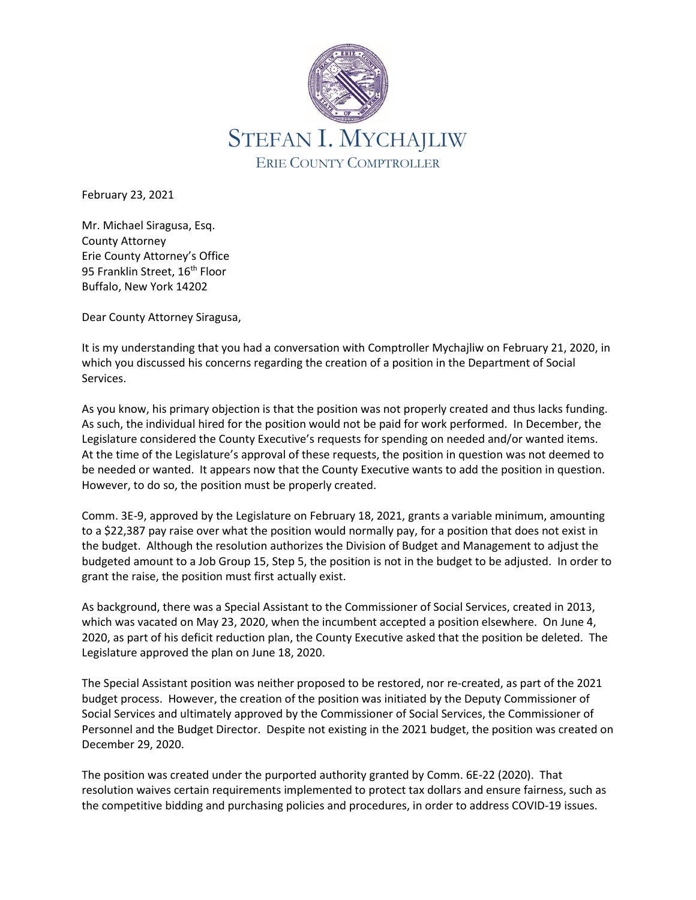

February 23, 2021

Mr. Michael Siragusa, Esq. County Attorney Erie County Attorney's Office 95 Franklin Street, 16<sup>th</sup> Floor Buffalo, New York 14202

Dear County Attorney Siragusa,

It is my understanding that you had a conversation with Comptroller Mychajliw on February 21, 2020, in which you discussed his concerns regarding the creation of a position in the Department of Social Services.

As you know, his primary objection is that the position was not properly created and thus lacks funding. As such, the individual hired for the position would not be paid for work performed. In December, the Legislature considered the County Executive's requests for spending on needed and/or wanted items. At the time of the Legislature's approval of these requests, the position in question was not deemed to be needed or wanted. It appears now that the County Executive wants to add the position in question. However, to do so, the position must be properly created.

Comm. 3E-9, approved by the Legislature on February 18, 2021, grants a variable minimum, amounting to a \$22,387 pay raise over what the position would normally pay, for a position that does not exist in the budget. Although the resolution authorizes the Division of Budget and Management to adjust the budgeted amount to a Job Group 15, Step 5, the position is not in the budget to be adjusted. In order to grant the raise, the position must first actually exist.

As background, there was a Special Assistant to the Commissioner of Social Services, created in 2013, which was vacated on May 23, 2020, when the incumbent accepted a position elsewhere. On June 4, 2020, as part of his deficit reduction plan, the County Executive asked that the position be deleted. The Legislature approved the plan on June 18, 2020.

The Special Assistant position was neither proposed to be restored, nor re-created, as part of the 2021 budget process. However, the creation of the position was initiated by the Deputy Commissioner of Social Services and ultimately approved by the Commissioner of Social Services, the Commissioner of Personnel and the Budget Director. Despite not existing in the 2021 budget, the position was created on December 29, 2020.

The position was created under the purported authority granted by Comm. 6E-22 (2020). That resolution waives certain requirements implemented to protect tax dollars and ensure fairness, such as the competitive bidding and purchasing policies and procedures, in order to address COVID-19 issues.